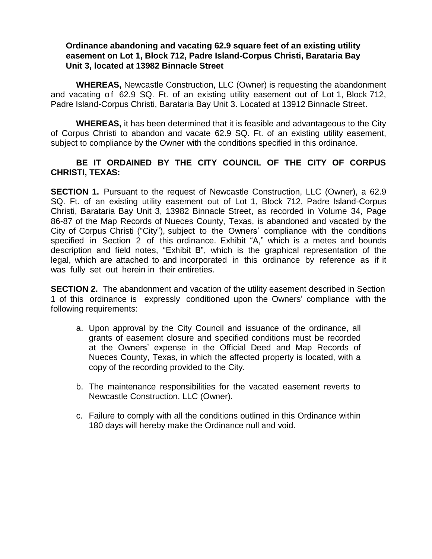## **Ordinance abandoning and vacating 62.9 square feet of an existing utility easement on Lot 1, Block 712, Padre Island-Corpus Christi, Barataria Bay Unit 3, located at 13982 Binnacle Street**

**WHEREAS,** Newcastle Construction, LLC (Owner) is requesting the abandonment and vacating of  $62.9$  SQ. Ft. of an existing utility easement out of Lot 1, Block 712, Padre Island-Corpus Christi, Barataria Bay Unit 3. Located at 13912 Binnacle Street.

**WHEREAS,** it has been determined that it is feasible and advantageous to the City of Corpus Christi to abandon and vacate 62.9 SQ. Ft. of an existing utility easement, subject to compliance by the Owner with the conditions specified in this ordinance.

## **BE IT ORDAINED BY THE CITY COUNCIL OF THE CITY OF CORPUS CHRISTI, TEXAS:**

**SECTION 1.** Pursuant to the request of Newcastle Construction, LLC (Owner), a 62.9 SQ. Ft. of an existing utility easement out of Lot 1, Block 712, Padre Island-Corpus Christi, Barataria Bay Unit 3, 13982 Binnacle Street, as recorded in Volume 34, Page 86-87 of the Map Records of Nueces County, Texas, is abandoned and vacated by the City of Corpus Christi ("City"), subject to the Owners' compliance with the conditions specified in Section 2 of this ordinance. Exhibit "A," which is a metes and bounds description and field notes, "Exhibit B", which is the graphical representation of the legal, which are attached to and incorporated in this ordinance by reference as if it was fully set out herein in their entireties.

**SECTION 2.** The abandonment and vacation of the utility easement described in Section 1 of this ordinance is expressly conditioned upon the Owners' compliance with the following requirements:

- a. Upon approval by the City Council and issuance of the ordinance, all grants of easement closure and specified conditions must be recorded at the Owners' expense in the Official Deed and Map Records of Nueces County, Texas, in which the affected property is located, with a copy of the recording provided to the City.
- b. The maintenance responsibilities for the vacated easement reverts to Newcastle Construction, LLC (Owner).
- c. Failure to comply with all the conditions outlined in this Ordinance within 180 days will hereby make the Ordinance null and void.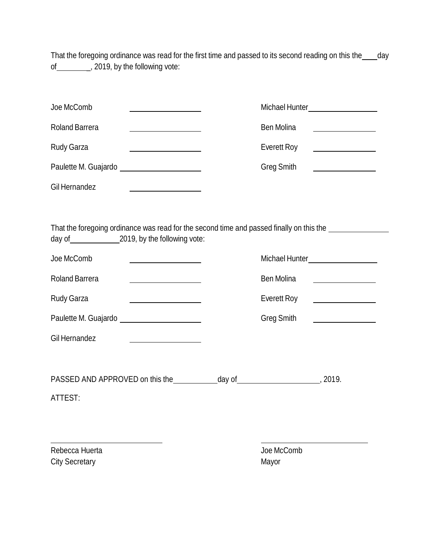That the foregoing ordinance was read for the first time and passed to its second reading on this the \_\_\_\_day of \_\_\_\_\_\_\_\_, 2019, by the following vote:

| Joe McComb                                                                               |                   | Michael Hunter <b>Michael</b> Hunter <b>Michael</b> |
|------------------------------------------------------------------------------------------|-------------------|-----------------------------------------------------|
| <b>Roland Barrera</b>                                                                    | <b>Ben Molina</b> |                                                     |
| <b>Rudy Garza</b>                                                                        | Everett Roy       | <u> 1980 - Johann Barnett, fransk kongresu</u>      |
| Paulette M. Guajardo                                                                     | Greg Smith        |                                                     |
| Gil Hernandez<br><u> 1980 - Johann Barbara, martxa alemaniar a</u>                       |                   |                                                     |
|                                                                                          |                   |                                                     |
| That the foregoing ordinance was read for the second time and passed finally on this the |                   |                                                     |
| Joe McComb<br><u> 1989 - Johann Barbara, martin a</u>                                    |                   | Michael Hunter_____________________                 |
| <b>Roland Barrera</b>                                                                    | Ben Molina        |                                                     |
| <b>Rudy Garza</b>                                                                        | Everett Roy       |                                                     |
| Paulette M. Guajardo                                                                     | <b>Greg Smith</b> |                                                     |
| Gil Hernandez<br><u> 1990 - Johann Barbara, martin a</u>                                 |                   |                                                     |
|                                                                                          |                   |                                                     |
| PASSED AND APPROVED on this the ______________day of _________________________, 2019.    |                   |                                                     |
| ATTEST:                                                                                  |                   |                                                     |
|                                                                                          |                   |                                                     |
|                                                                                          |                   |                                                     |
| Rebecca Huerta                                                                           | Joe McComb        |                                                     |

City Secretary **Mayor**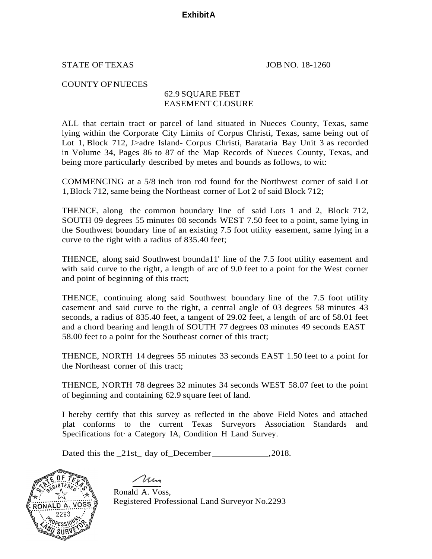**ExhibitA**

STATE OF TEXAS JOB NO. 18-1260

COUNTY OF NUECES

## 62.9 SQUARE FEET EASEMENT CLOSURE

ALL that certain tract or parcel of land situated in Nueces County, Texas, same lying within the Corporate City Limits of Corpus Christi, Texas, same being out of Lot 1, Block 712, J>adre Island- Corpus Christi, Barataria Bay Unit 3 as recorded in Volume 34, Pages 86 to 87 of the Map Records of Nueces County, Texas, and being more particularly described by metes and bounds as follows, to wit:

COMMENCING at a 5/8 inch iron rod found for the Northwest corner of said Lot 1,Block 712, same being the Northeast corner of Lot 2 of said Block 712;

THENCE, along the common boundary line of said Lots 1 and 2, Block 712, SOUTH 09 degrees 55 minutes 08 seconds WEST 7.50 feet to a point, same lying in the Southwest boundary line of an existing 7.5 foot utility easement, same lying in a curve to the right with a radius of 835.40 feet;

THENCE, along said Southwest bounda11' line of the 7.5 foot utility easement and with said curve to the right, a length of arc of 9.0 feet to a point for the West corner and point of beginning of this tract;

THENCE, continuing along said Southwest boundary line of the 7.5 foot utility casement and said curve to the right, a central angle of 03 degrees 58 minutes 43 seconds, a radius of 835.40 feet, a tangent of 29.02 feet, a length of arc of 58.01 feet and a chord bearing and length of SOUTH 77 degrees 03 minutes 49 seconds EAST 58.00 feet to a point for the Southeast corner of this tract;

THENCE, NORTH 14 degrees 55 minutes 33 seconds EAST 1.50 feet to a point for the Northeast corner of this tract;

THENCE, NORTH 78 degrees 32 minutes 34 seconds WEST 58.07 feet to the point of beginning and containing 62.9 square feet of land.

I hereby certify that this survey as reflected in the above Field Notes and attached plat conforms to the current Texas Surveyors Association Standards and Specifications fot· a Category IA, Condition H Land Survey.

Dated this the \_21st\_ day of\_December ,2018.



Nam

Ronald A. Voss, Registered Professional Land Surveyor No.2293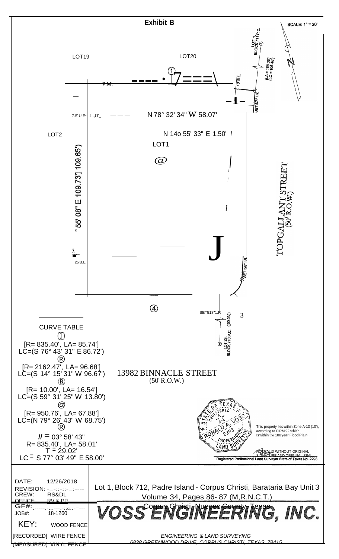